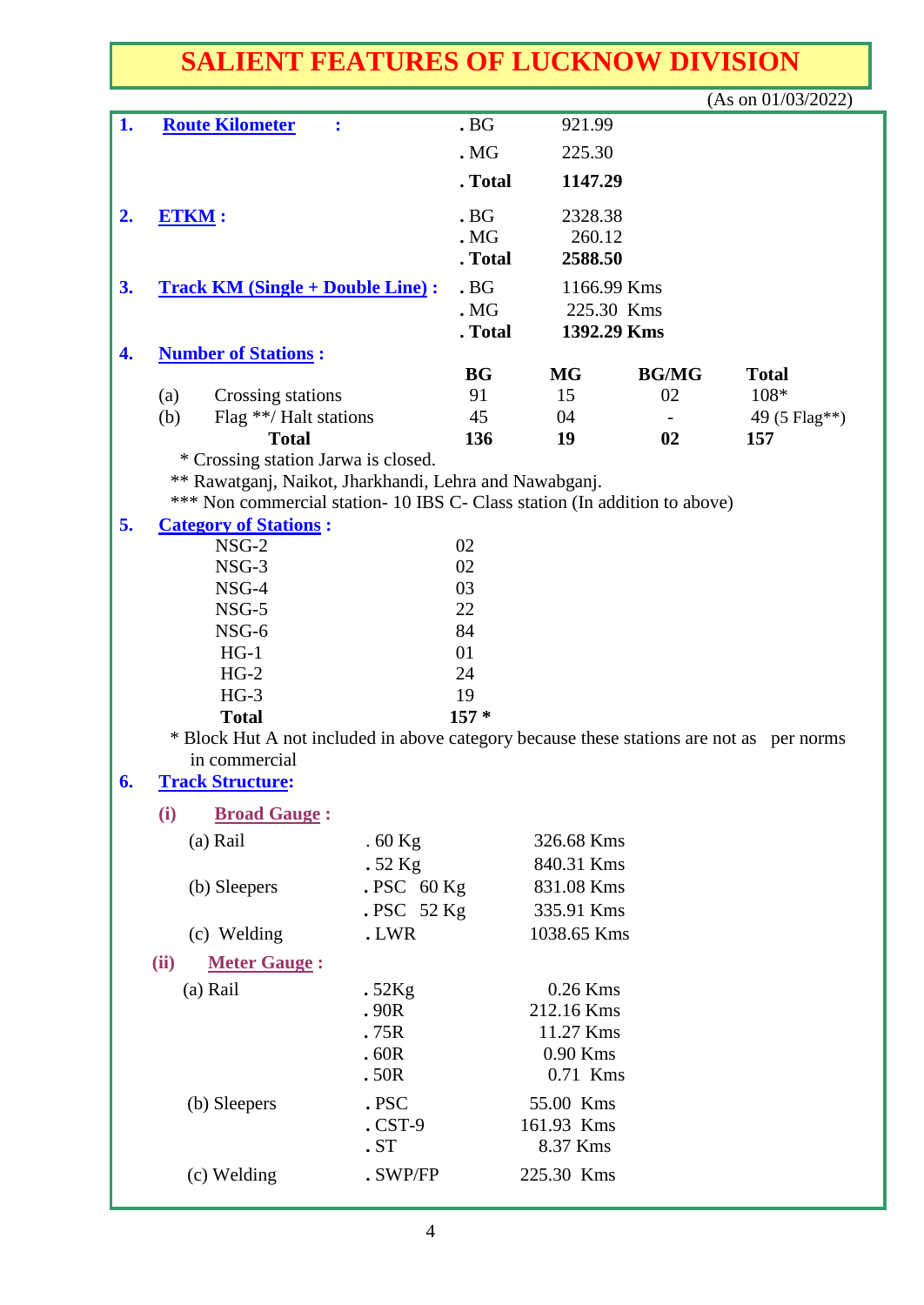## **SALIENT FEATURES OF LUCKNOW DIVISION**

|    |                                                                                                           |             |             |              | (As on $01/03/2022$ ) |  |  |  |  |
|----|-----------------------------------------------------------------------------------------------------------|-------------|-------------|--------------|-----------------------|--|--|--|--|
| 1. | <b>Route Kilometer</b><br>$\ddot{\cdot}$                                                                  | .BG         | 921.99      |              |                       |  |  |  |  |
|    |                                                                                                           | .MG         | 225.30      |              |                       |  |  |  |  |
|    |                                                                                                           | . Total     | 1147.29     |              |                       |  |  |  |  |
|    |                                                                                                           | .BG         |             |              |                       |  |  |  |  |
|    | 2.<br><b>ETKM:</b>                                                                                        |             | 2328.38     |              |                       |  |  |  |  |
|    |                                                                                                           | .MG         | 260.12      |              |                       |  |  |  |  |
|    |                                                                                                           | . Total     | 2588.50     |              |                       |  |  |  |  |
| 3. | <b>Track KM (Single + Double Line):</b>                                                                   | .BG         | 1166.99 Kms |              |                       |  |  |  |  |
|    |                                                                                                           | .MG         | 225.30 Kms  |              |                       |  |  |  |  |
| 4. |                                                                                                           | . Total     | 1392.29 Kms |              |                       |  |  |  |  |
|    | <b>Number of Stations:</b>                                                                                | <b>BG</b>   | <b>MG</b>   | <b>BG/MG</b> | <b>Total</b>          |  |  |  |  |
|    | (a)<br>Crossing stations                                                                                  | 91          | 15          | 02           | 108*                  |  |  |  |  |
|    | (b)<br>Flag **/ Halt stations                                                                             | 45          | 04          |              | 49 (5 Flag**)         |  |  |  |  |
|    | <b>Total</b>                                                                                              | 136         | 19          | 02           | 157                   |  |  |  |  |
|    | * Crossing station Jarwa is closed.                                                                       |             |             |              |                       |  |  |  |  |
|    | ** Rawatganj, Naikot, Jharkhandi, Lehra and Nawabganj.                                                    |             |             |              |                       |  |  |  |  |
|    | *** Non commercial station- 10 IBS C- Class station (In addition to above)                                |             |             |              |                       |  |  |  |  |
| 5. | <b>Category of Stations:</b>                                                                              |             |             |              |                       |  |  |  |  |
|    | $NSG-2$                                                                                                   | 02          |             |              |                       |  |  |  |  |
|    | $NSG-3$                                                                                                   | 02          |             |              |                       |  |  |  |  |
|    | NSG-4                                                                                                     | 03          |             |              |                       |  |  |  |  |
|    | $NSG-5$                                                                                                   | 22          |             |              |                       |  |  |  |  |
|    | NSG-6                                                                                                     | 84          |             |              |                       |  |  |  |  |
|    | $HG-1$                                                                                                    | 01          |             |              |                       |  |  |  |  |
|    | $HG-2$                                                                                                    | 24          |             |              |                       |  |  |  |  |
|    | $HG-3$                                                                                                    | 19          |             |              |                       |  |  |  |  |
|    | $157*$<br><b>Total</b>                                                                                    |             |             |              |                       |  |  |  |  |
|    | * Block Hut A not included in above category because these stations are not as per norms<br>in commercial |             |             |              |                       |  |  |  |  |
|    | <b>Track Structure:</b>                                                                                   |             |             |              |                       |  |  |  |  |
| o. |                                                                                                           |             |             |              |                       |  |  |  |  |
|    | (i)<br><b>Broad Gauge:</b>                                                                                |             |             |              |                       |  |  |  |  |
|    | (a) Rail<br>$.60$ Kg                                                                                      |             | 326.68 Kms  |              |                       |  |  |  |  |
|    | $.52$ Kg                                                                                                  |             | 840.31 Kms  |              |                       |  |  |  |  |
|    | (b) Sleepers                                                                                              | $PSC$ 60 Kg | 831.08 Kms  |              |                       |  |  |  |  |
|    |                                                                                                           | .PSC 52 Kg  | 335.91 Kms  |              |                       |  |  |  |  |
|    | (c) Welding<br>.LWR                                                                                       |             | 1038.65 Kms |              |                       |  |  |  |  |
|    | (ii)<br><b>Meter Gauge:</b>                                                                               |             |             |              |                       |  |  |  |  |
|    | (a) Rail<br>.52Kg                                                                                         |             | 0.26 Kms    |              |                       |  |  |  |  |
|    | .90R                                                                                                      |             | 212.16 Kms  |              |                       |  |  |  |  |
|    | .75R                                                                                                      |             | 11.27 Kms   |              |                       |  |  |  |  |
|    | .60R                                                                                                      |             | 0.90 Kms    |              |                       |  |  |  |  |
|    | .50R                                                                                                      |             | 0.71 Kms    |              |                       |  |  |  |  |
|    | .PSC<br>(b) Sleepers                                                                                      |             | 55.00 Kms   |              |                       |  |  |  |  |
|    | $.CST-9$                                                                                                  |             | 161.93 Kms  |              |                       |  |  |  |  |
|    | .ST                                                                                                       |             | 8.37 Kms    |              |                       |  |  |  |  |
|    | (c) Welding                                                                                               | . SWP/FP    | 225.30 Kms  |              |                       |  |  |  |  |
|    |                                                                                                           |             |             |              |                       |  |  |  |  |